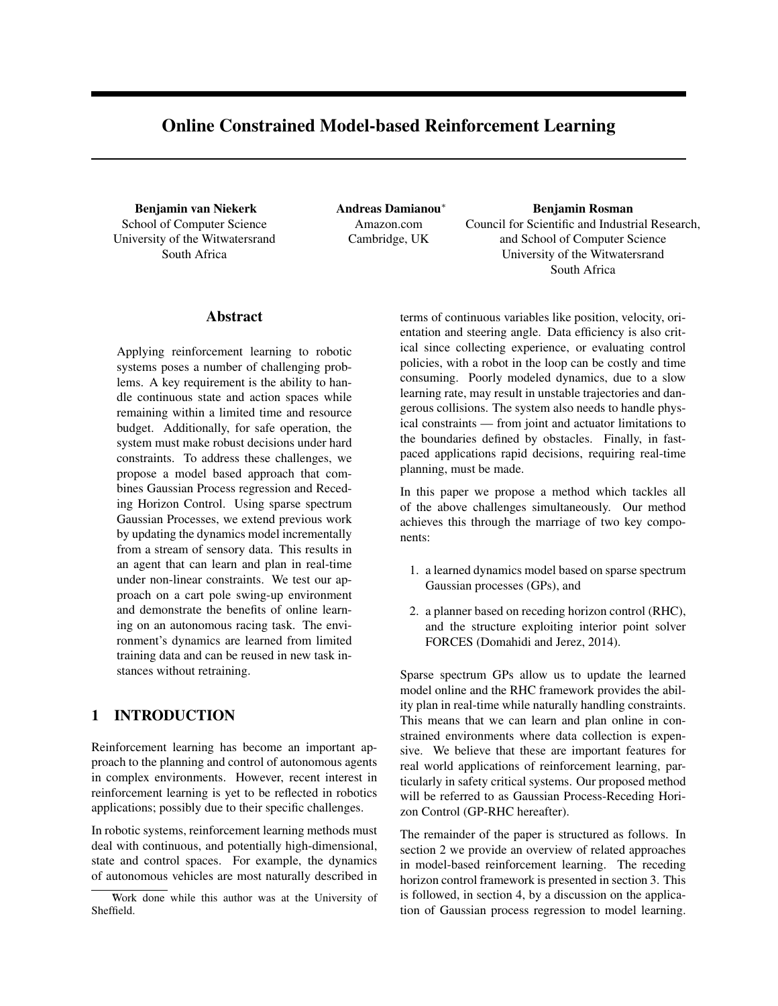# Online Constrained Model-based Reinforcement Learning

Benjamin van Niekerk School of Computer Science University of the Witwatersrand South Africa

Andreas Damianou<sup>∗</sup> Amazon.com Cambridge, UK

Benjamin Rosman Council for Scientific and Industrial Research, and School of Computer Science University of the Witwatersrand South Africa

# Abstract

Applying reinforcement learning to robotic systems poses a number of challenging problems. A key requirement is the ability to handle continuous state and action spaces while remaining within a limited time and resource budget. Additionally, for safe operation, the system must make robust decisions under hard constraints. To address these challenges, we propose a model based approach that combines Gaussian Process regression and Receding Horizon Control. Using sparse spectrum Gaussian Processes, we extend previous work by updating the dynamics model incrementally from a stream of sensory data. This results in an agent that can learn and plan in real-time under non-linear constraints. We test our approach on a cart pole swing-up environment and demonstrate the benefits of online learning on an autonomous racing task. The environment's dynamics are learned from limited training data and can be reused in new task instances without retraining.

# 1 INTRODUCTION

Reinforcement learning has become an important approach to the planning and control of autonomous agents in complex environments. However, recent interest in reinforcement learning is yet to be reflected in robotics applications; possibly due to their specific challenges.

In robotic systems, reinforcement learning methods must deal with continuous, and potentially high-dimensional, state and control spaces. For example, the dynamics of autonomous vehicles are most naturally described in terms of continuous variables like position, velocity, orientation and steering angle. Data efficiency is also critical since collecting experience, or evaluating control policies, with a robot in the loop can be costly and time consuming. Poorly modeled dynamics, due to a slow learning rate, may result in unstable trajectories and dangerous collisions. The system also needs to handle physical constraints — from joint and actuator limitations to the boundaries defined by obstacles. Finally, in fastpaced applications rapid decisions, requiring real-time planning, must be made.

In this paper we propose a method which tackles all of the above challenges simultaneously. Our method achieves this through the marriage of two key components:

- 1. a learned dynamics model based on sparse spectrum Gaussian processes (GPs), and
- 2. a planner based on receding horizon control (RHC), and the structure exploiting interior point solver FORCES (Domahidi and Jerez, 2014).

Sparse spectrum GPs allow us to update the learned model online and the RHC framework provides the ability plan in real-time while naturally handling constraints. This means that we can learn and plan online in constrained environments where data collection is expensive. We believe that these are important features for real world applications of reinforcement learning, particularly in safety critical systems. Our proposed method will be referred to as Gaussian Process-Receding Horizon Control (GP-RHC hereafter).

The remainder of the paper is structured as follows. In section 2 we provide an overview of related approaches in model-based reinforcement learning. The receding horizon control framework is presented in section 3. This is followed, in section 4, by a discussion on the application of Gaussian process regression to model learning.

<sup>∗</sup>Work done while this author was at the University of Sheffield.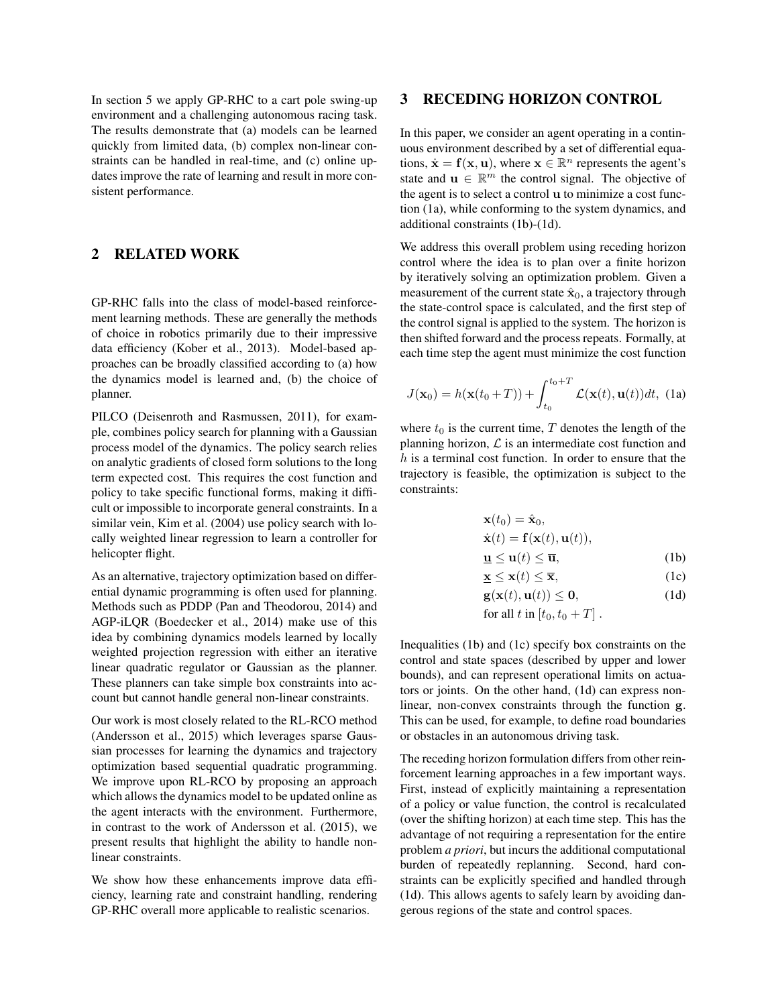In section 5 we apply GP-RHC to a cart pole swing-up environment and a challenging autonomous racing task. The results demonstrate that (a) models can be learned quickly from limited data, (b) complex non-linear constraints can be handled in real-time, and (c) online updates improve the rate of learning and result in more consistent performance.

# 2 RELATED WORK

GP-RHC falls into the class of model-based reinforcement learning methods. These are generally the methods of choice in robotics primarily due to their impressive data efficiency (Kober et al., 2013). Model-based approaches can be broadly classified according to (a) how the dynamics model is learned and, (b) the choice of planner.

PILCO (Deisenroth and Rasmussen, 2011), for example, combines policy search for planning with a Gaussian process model of the dynamics. The policy search relies on analytic gradients of closed form solutions to the long term expected cost. This requires the cost function and policy to take specific functional forms, making it difficult or impossible to incorporate general constraints. In a similar vein, Kim et al. (2004) use policy search with locally weighted linear regression to learn a controller for helicopter flight.

As an alternative, trajectory optimization based on differential dynamic programming is often used for planning. Methods such as PDDP (Pan and Theodorou, 2014) and AGP-iLQR (Boedecker et al., 2014) make use of this idea by combining dynamics models learned by locally weighted projection regression with either an iterative linear quadratic regulator or Gaussian as the planner. These planners can take simple box constraints into account but cannot handle general non-linear constraints.

Our work is most closely related to the RL-RCO method (Andersson et al., 2015) which leverages sparse Gaussian processes for learning the dynamics and trajectory optimization based sequential quadratic programming. We improve upon RL-RCO by proposing an approach which allows the dynamics model to be updated online as the agent interacts with the environment. Furthermore, in contrast to the work of Andersson et al. (2015), we present results that highlight the ability to handle nonlinear constraints.

We show how these enhancements improve data efficiency, learning rate and constraint handling, rendering GP-RHC overall more applicable to realistic scenarios.

# 3 RECEDING HORIZON CONTROL

In this paper, we consider an agent operating in a continuous environment described by a set of differential equations,  $\dot{\mathbf{x}} = \mathbf{f}(\mathbf{x}, \mathbf{u})$ , where  $\mathbf{x} \in \mathbb{R}^n$  represents the agent's state and  $\mathbf{u} \in \mathbb{R}^m$  the control signal. The objective of the agent is to select a control u to minimize a cost function (1a), while conforming to the system dynamics, and additional constraints (1b)-(1d).

We address this overall problem using receding horizon control where the idea is to plan over a finite horizon by iteratively solving an optimization problem. Given a measurement of the current state  $\hat{\mathbf{x}}_0$ , a trajectory through the state-control space is calculated, and the first step of the control signal is applied to the system. The horizon is then shifted forward and the process repeats. Formally, at each time step the agent must minimize the cost function

$$
J(\mathbf{x}_0) = h(\mathbf{x}(t_0 + T)) + \int_{t_0}^{t_0 + T} \mathcal{L}(\mathbf{x}(t), \mathbf{u}(t)) dt, \text{ (1a)}
$$

where  $t_0$  is the current time, T denotes the length of the planning horizon,  $\mathcal L$  is an intermediate cost function and  $h$  is a terminal cost function. In order to ensure that the trajectory is feasible, the optimization is subject to the constraints:

$$
\mathbf{x}(t_0) = \hat{\mathbf{x}}_0,
$$
  
\n
$$
\dot{\mathbf{x}}(t) = \mathbf{f}(\mathbf{x}(t), \mathbf{u}(t)),
$$

$$
\mathbf{u} \le \mathbf{u}(t) \le \overline{\mathbf{u}},\tag{1b}
$$

$$
\underline{\mathbf{x}} \le \mathbf{x}(t) \le \overline{\mathbf{x}},\tag{1c}
$$
\n
$$
\mathbf{g}(\mathbf{x}(t), \mathbf{u}(t)) < \mathbf{0}.\tag{1d}
$$

$$
\mathbf{g}(\mathbf{x}(t), \mathbf{u}(t)) \leq \mathbf{0},\tag{10}
$$

for all 
$$
t
$$
 in  $[t_0, t_0 + T]$ .

Inequalities (1b) and (1c) specify box constraints on the control and state spaces (described by upper and lower bounds), and can represent operational limits on actuators or joints. On the other hand, (1d) can express nonlinear, non-convex constraints through the function g. This can be used, for example, to define road boundaries or obstacles in an autonomous driving task.

The receding horizon formulation differs from other reinforcement learning approaches in a few important ways. First, instead of explicitly maintaining a representation of a policy or value function, the control is recalculated (over the shifting horizon) at each time step. This has the advantage of not requiring a representation for the entire problem *a priori*, but incurs the additional computational burden of repeatedly replanning. Second, hard constraints can be explicitly specified and handled through (1d). This allows agents to safely learn by avoiding dangerous regions of the state and control spaces.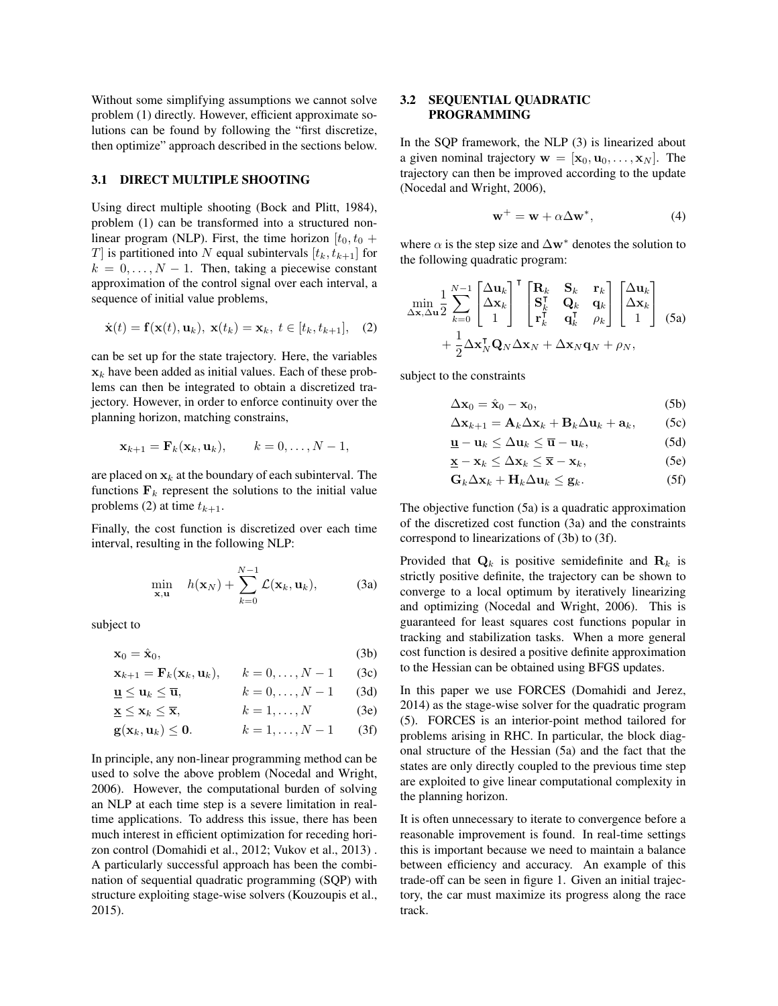Without some simplifying assumptions we cannot solve problem (1) directly. However, efficient approximate solutions can be found by following the "first discretize, then optimize" approach described in the sections below.

#### 3.1 DIRECT MULTIPLE SHOOTING

Using direct multiple shooting (Bock and Plitt, 1984), problem (1) can be transformed into a structured nonlinear program (NLP). First, the time horizon  $[t_0, t_0 +$ T is partitioned into N equal subintervals  $[t_k, t_{k+1}]$  for  $k = 0, \ldots, N - 1$ . Then, taking a piecewise constant approximation of the control signal over each interval, a sequence of initial value problems,

$$
\dot{\mathbf{x}}(t) = \mathbf{f}(\mathbf{x}(t), \mathbf{u}_k), \ \mathbf{x}(t_k) = \mathbf{x}_k, \ t \in [t_k, t_{k+1}], \quad (2)
$$

can be set up for the state trajectory. Here, the variables  $x_k$  have been added as initial values. Each of these problems can then be integrated to obtain a discretized trajectory. However, in order to enforce continuity over the planning horizon, matching constrains,

$$
\mathbf{x}_{k+1} = \mathbf{F}_k(\mathbf{x}_k, \mathbf{u}_k), \qquad k = 0, \dots, N-1,
$$

are placed on  $x_k$  at the boundary of each subinterval. The functions  $F_k$  represent the solutions to the initial value problems (2) at time  $t_{k+1}$ .

Finally, the cost function is discretized over each time interval, resulting in the following NLP:

$$
\min_{\mathbf{x}, \mathbf{u}} \quad h(\mathbf{x}_N) + \sum_{k=0}^{N-1} \mathcal{L}(\mathbf{x}_k, \mathbf{u}_k), \tag{3a}
$$

subject to

$$
\mathbf{x}_0 = \hat{\mathbf{x}}_0,\tag{3b}
$$

$$
\mathbf{x}_{k+1} = \mathbf{F}_k(\mathbf{x}_k, \mathbf{u}_k), \qquad k = 0, \dots, N-1 \qquad (3c)
$$

$$
\mathbf{u} \le \mathbf{u}_k \le \overline{\mathbf{u}}, \qquad k = 0, \dots, N - 1 \qquad (3d)
$$

$$
\mathbf{\underline{x}} \le \mathbf{x}_k \le \overline{\mathbf{x}}, \qquad k = 1, \dots, N \qquad (3e)
$$

$$
\mathbf{g}(\mathbf{x}_k, \mathbf{u}_k) \leq \mathbf{0}.\qquad k = 1, \dots, N-1 \qquad (3f)
$$

In principle, any non-linear programming method can be used to solve the above problem (Nocedal and Wright, 2006). However, the computational burden of solving an NLP at each time step is a severe limitation in realtime applications. To address this issue, there has been much interest in efficient optimization for receding horizon control (Domahidi et al., 2012; Vukov et al., 2013) . A particularly successful approach has been the combination of sequential quadratic programming (SQP) with structure exploiting stage-wise solvers (Kouzoupis et al., 2015).

### 3.2 SEQUENTIAL QUADRATIC PROGRAMMING

In the SQP framework, the NLP (3) is linearized about a given nominal trajectory  $\mathbf{w} = [\mathbf{x}_0, \mathbf{u}_0, \dots, \mathbf{x}_N]$ . The trajectory can then be improved according to the update (Nocedal and Wright, 2006),

$$
\mathbf{w}^+ = \mathbf{w} + \alpha \Delta \mathbf{w}^*,\tag{4}
$$

where  $\alpha$  is the step size and  $\Delta w^*$  denotes the solution to the following quadratic program:

$$
\begin{split} \min_{\Delta \mathbf{x}, \Delta \mathbf{u}} & \frac{1}{2} \sum_{k=0}^{N-1} \begin{bmatrix} \Delta \mathbf{u}_k \\ \Delta \mathbf{x}_k \\ 1 \end{bmatrix}^\mathsf{T} \begin{bmatrix} \mathbf{R}_k & \mathbf{S}_k & \mathbf{r}_k \\ \mathbf{S}_k^\mathsf{T} & \mathbf{Q}_k & \mathbf{q}_k \\ \mathbf{r}_k^\mathsf{T} & \mathbf{q}_k^\mathsf{T} & \rho_k \end{bmatrix} \begin{bmatrix} \Delta \mathbf{u}_k \\ \Delta \mathbf{x}_k \\ 1 \end{bmatrix} \\ & + \frac{1}{2} \Delta \mathbf{x}_N^\mathsf{T} \mathbf{Q}_N \Delta \mathbf{x}_N + \Delta \mathbf{x}_N \mathbf{q}_N + \rho_N, \end{split} \tag{5a}
$$

subject to the constraints

$$
\Delta \mathbf{x}_0 = \hat{\mathbf{x}}_0 - \mathbf{x}_0,\tag{5b}
$$

$$
\Delta \mathbf{x}_{k+1} = \mathbf{A}_k \Delta \mathbf{x}_k + \mathbf{B}_k \Delta \mathbf{u}_k + \mathbf{a}_k, \qquad (5c)
$$

$$
\mathbf{\underline{u}} - \mathbf{u}_k \le \Delta \mathbf{u}_k \le \overline{\mathbf{u}} - \mathbf{u}_k, \tag{5d}
$$

$$
\underline{\mathbf{x}} - \mathbf{x}_k \le \Delta \mathbf{x}_k \le \overline{\mathbf{x}} - \mathbf{x}_k, \tag{5e}
$$

$$
\mathbf{G}_k \Delta \mathbf{x}_k + \mathbf{H}_k \Delta \mathbf{u}_k \leq \mathbf{g}_k. \tag{5f}
$$

The objective function (5a) is a quadratic approximation of the discretized cost function (3a) and the constraints correspond to linearizations of (3b) to (3f).

Provided that  $\mathbf{Q}_k$  is positive semidefinite and  $\mathbf{R}_k$  is strictly positive definite, the trajectory can be shown to converge to a local optimum by iteratively linearizing and optimizing (Nocedal and Wright, 2006). This is guaranteed for least squares cost functions popular in tracking and stabilization tasks. When a more general cost function is desired a positive definite approximation to the Hessian can be obtained using BFGS updates.

In this paper we use FORCES (Domahidi and Jerez, 2014) as the stage-wise solver for the quadratic program (5). FORCES is an interior-point method tailored for problems arising in RHC. In particular, the block diagonal structure of the Hessian (5a) and the fact that the states are only directly coupled to the previous time step are exploited to give linear computational complexity in the planning horizon.

It is often unnecessary to iterate to convergence before a reasonable improvement is found. In real-time settings this is important because we need to maintain a balance between efficiency and accuracy. An example of this trade-off can be seen in figure 1. Given an initial trajectory, the car must maximize its progress along the race track.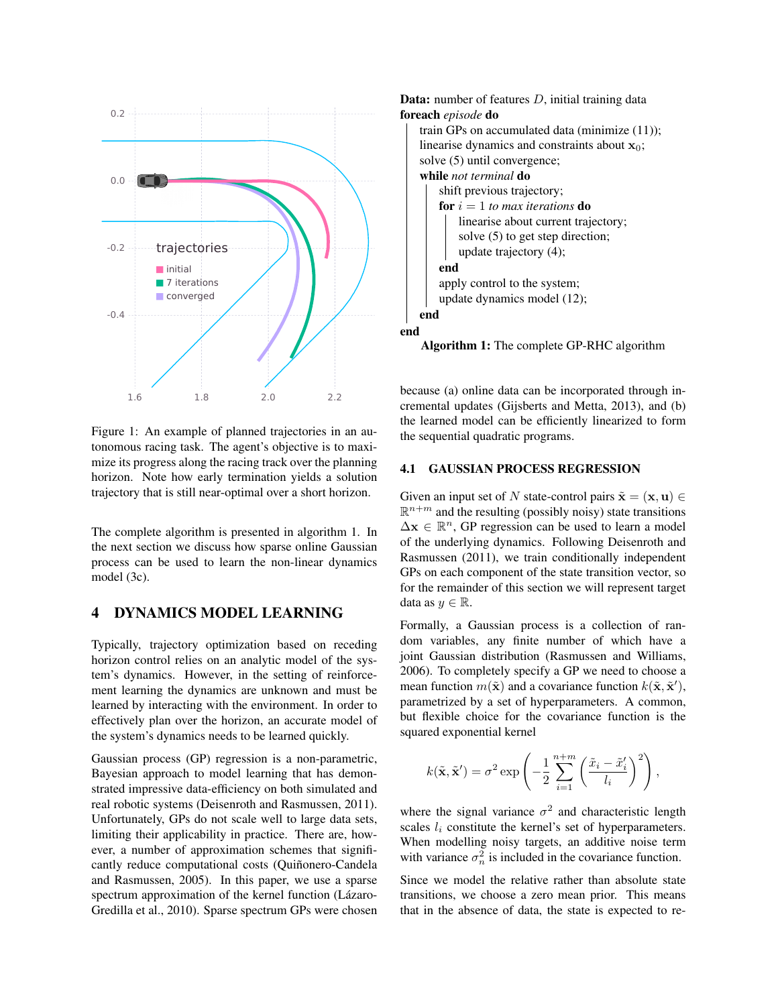

Figure 1: An example of planned trajectories in an autonomous racing task. The agent's objective is to maximize its progress along the racing track over the planning horizon. Note how early termination yields a solution trajectory that is still near-optimal over a short horizon.

The complete algorithm is presented in algorithm 1. In the next section we discuss how sparse online Gaussian process can be used to learn the non-linear dynamics model (3c).

### 4 DYNAMICS MODEL LEARNING

Typically, trajectory optimization based on receding horizon control relies on an analytic model of the system's dynamics. However, in the setting of reinforcement learning the dynamics are unknown and must be learned by interacting with the environment. In order to effectively plan over the horizon, an accurate model of the system's dynamics needs to be learned quickly.

Gaussian process (GP) regression is a non-parametric, Bayesian approach to model learning that has demonstrated impressive data-efficiency on both simulated and real robotic systems (Deisenroth and Rasmussen, 2011). Unfortunately, GPs do not scale well to large data sets, limiting their applicability in practice. There are, however, a number of approximation schemes that significantly reduce computational costs (Quiñonero-Candela and Rasmussen, 2005). In this paper, we use a sparse spectrum approximation of the kernel function (Lázaro-Gredilla et al., 2010). Sparse spectrum GPs were chosen



Algorithm 1: The complete GP-RHC algorithm

because (a) online data can be incorporated through incremental updates (Gijsberts and Metta, 2013), and (b) the learned model can be efficiently linearized to form the sequential quadratic programs.

#### 4.1 GAUSSIAN PROCESS REGRESSION

Given an input set of N state-control pairs  $\tilde{\mathbf{x}} = (\mathbf{x}, \mathbf{u}) \in$  $\mathbb{R}^{n+m}$  and the resulting (possibly noisy) state transitions  $\Delta x \in \mathbb{R}^n$ , GP regression can be used to learn a model of the underlying dynamics. Following Deisenroth and Rasmussen (2011), we train conditionally independent GPs on each component of the state transition vector, so for the remainder of this section we will represent target data as  $y \in \mathbb{R}$ .

Formally, a Gaussian process is a collection of random variables, any finite number of which have a joint Gaussian distribution (Rasmussen and Williams, 2006). To completely specify a GP we need to choose a mean function  $m(\tilde{\mathbf{x}})$  and a covariance function  $k(\tilde{\mathbf{x}}, \tilde{\mathbf{x}}')$ , parametrized by a set of hyperparameters. A common, but flexible choice for the covariance function is the squared exponential kernel

$$
k(\tilde{\mathbf{x}}, \tilde{\mathbf{x}}') = \sigma^2 \exp\left(-\frac{1}{2} \sum_{i=1}^{n+m} \left(\frac{\tilde{x}_i - \tilde{x}'_i}{l_i}\right)^2\right),\,
$$

where the signal variance  $\sigma^2$  and characteristic length scales  $l_i$  constitute the kernel's set of hyperparameters. When modelling noisy targets, an additive noise term with variance  $\sigma_n^2$  is included in the covariance function.

Since we model the relative rather than absolute state transitions, we choose a zero mean prior. This means that in the absence of data, the state is expected to re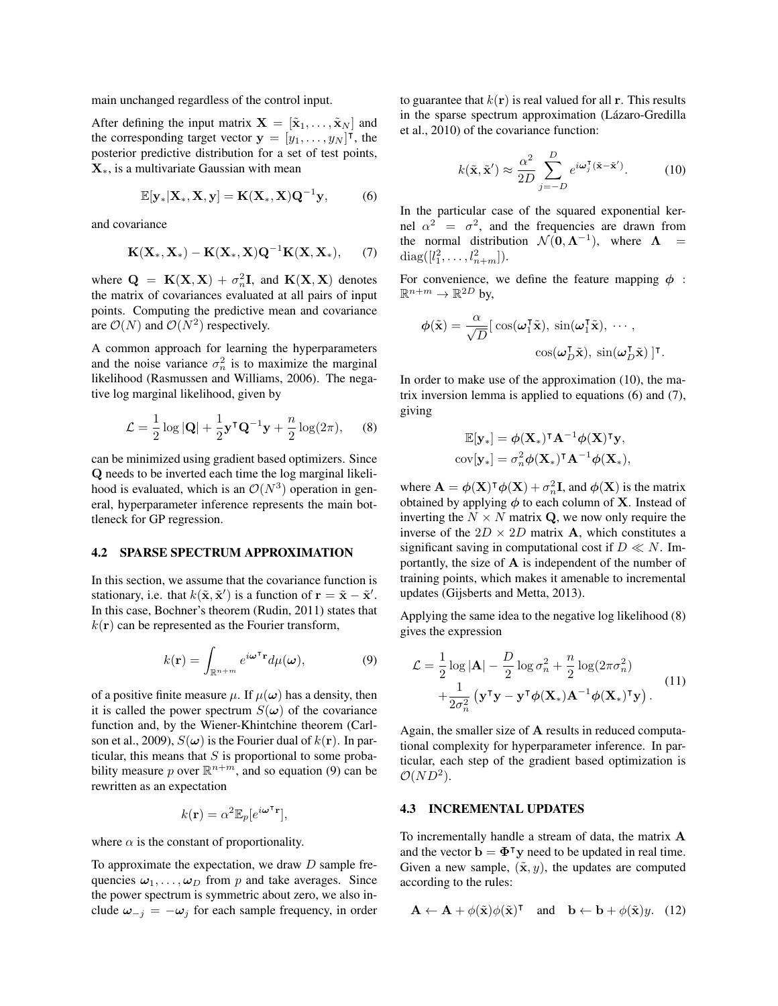main unchanged regardless of the control input.

After defining the input matrix  $\mathbf{X} = [\tilde{\mathbf{x}}_1, \dots, \tilde{\mathbf{x}}_N]$  and the corresponding target vector  $\mathbf{y} = [y_1, \dots, y_N]^\mathsf{T}$ , the posterior predictive distribution for a set of test points,  $\mathbf{X}_{*}$ , is a multivariate Gaussian with mean

$$
\mathbb{E}[\mathbf{y}_*|\mathbf{X}_*,\mathbf{X},\mathbf{y}] = \mathbf{K}(\mathbf{X}_*,\mathbf{X})\mathbf{Q}^{-1}\mathbf{y},\tag{6}
$$

and covariance

$$
\mathbf{K}(\mathbf{X}_*,\mathbf{X}_*)-\mathbf{K}(\mathbf{X}_*,\mathbf{X})\mathbf{Q}^{-1}\mathbf{K}(\mathbf{X},\mathbf{X}_*),\qquad(7)
$$

where  $\mathbf{Q} = \mathbf{K}(\mathbf{X}, \mathbf{X}) + \sigma_n^2 \mathbf{I}$ , and  $\mathbf{K}(\mathbf{X}, \mathbf{X})$  denotes the matrix of covariances evaluated at all pairs of input points. Computing the predictive mean and covariance are  $\mathcal{O}(N)$  and  $\mathcal{O}(N^2)$  respectively.

A common approach for learning the hyperparameters and the noise variance  $\sigma_n^2$  is to maximize the marginal likelihood (Rasmussen and Williams, 2006). The negative log marginal likelihood, given by

$$
\mathcal{L} = \frac{1}{2} \log |\mathbf{Q}| + \frac{1}{2} \mathbf{y}^\mathsf{T} \mathbf{Q}^{-1} \mathbf{y} + \frac{n}{2} \log(2\pi), \quad (8)
$$

can be minimized using gradient based optimizers. Since Q needs to be inverted each time the log marginal likelihood is evaluated, which is an  $\mathcal{O}(N^3)$  operation in general, hyperparameter inference represents the main bottleneck for GP regression.

### 4.2 SPARSE SPECTRUM APPROXIMATION

In this section, we assume that the covariance function is stationary, i.e. that  $k(\tilde{\mathbf{x}}, \tilde{\mathbf{x}}')$  is a function of  $\mathbf{r} = \tilde{\mathbf{x}} - \tilde{\mathbf{x}}'$ . In this case, Bochner's theorem (Rudin, 2011) states that  $k(\mathbf{r})$  can be represented as the Fourier transform,

$$
k(\mathbf{r}) = \int_{\mathbb{R}^{n+m}} e^{i\boldsymbol{\omega}^\mathsf{T} \mathbf{r}} d\mu(\boldsymbol{\omega}), \tag{9}
$$

of a positive finite measure  $\mu$ . If  $\mu(\omega)$  has a density, then it is called the power spectrum  $S(\omega)$  of the covariance function and, by the Wiener-Khintchine theorem (Carlson et al., 2009),  $S(\omega)$  is the Fourier dual of  $k(\mathbf{r})$ . In particular, this means that  $S$  is proportional to some probability measure p over  $\mathbb{R}^{n+m}$ , and so equation (9) can be rewritten as an expectation

$$
k(\mathbf{r}) = \alpha^2 \mathbb{E}_p[e^{i\boldsymbol{\omega}^\mathsf{T} \mathbf{r}}],
$$

where  $\alpha$  is the constant of proportionality.

To approximate the expectation, we draw  $D$  sample frequencies  $\omega_1, \ldots, \omega_D$  from p and take averages. Since the power spectrum is symmetric about zero, we also include  $\omega_{-j} = -\omega_j$  for each sample frequency, in order to guarantee that  $k(\mathbf{r})$  is real valued for all r. This results in the sparse spectrum approximation (Lázaro-Gredilla et al., 2010) of the covariance function:

$$
k(\tilde{\mathbf{x}}, \tilde{\mathbf{x}}') \approx \frac{\alpha^2}{2D} \sum_{j=-D}^{D} e^{i\boldsymbol{\omega}_j^{\mathsf{T}}(\tilde{\mathbf{x}} - \tilde{\mathbf{x}}')}.
$$
 (10)

In the particular case of the squared exponential kernel  $\alpha^2 = \sigma^2$ , and the frequencies are drawn from the normal distribution  $\mathcal{N}(0, \Lambda^{-1})$ , where  $\Lambda$  =  $diag([l_1^2, \ldots, l_{n+m}^2]).$ 

For convenience, we define the feature mapping  $\phi$ :  $\mathbb{R}^{n+m} \to \mathbb{R}^{2D}$  by,

$$
\phi(\tilde{\mathbf{x}}) = \frac{\alpha}{\sqrt{D}} [\cos(\omega_1^{\mathsf{T}}\tilde{\mathbf{x}}), \sin(\omega_1^{\mathsf{T}}\tilde{\mathbf{x}}), \cdots, \\ \cos(\omega_D^{\mathsf{T}}\tilde{\mathbf{x}}), \sin(\omega_D^{\mathsf{T}}\tilde{\mathbf{x}})]^{\mathsf{T}}
$$

.

In order to make use of the approximation (10), the matrix inversion lemma is applied to equations (6) and (7), giving

$$
\mathbb{E}[\mathbf{y}_*] = \phi(\mathbf{X}_*)^{\mathsf{T}} \mathbf{A}^{-1} \phi(\mathbf{X})^{\mathsf{T}} \mathbf{y},
$$
  
cov $[\mathbf{y}_*] = \sigma_n^2 \phi(\mathbf{X}_*)^{\mathsf{T}} \mathbf{A}^{-1} \phi(\mathbf{X}_*),$ 

where  $\mathbf{A} = \boldsymbol{\phi}(\mathbf{X})^{\mathsf{T}} \boldsymbol{\phi}(\mathbf{X}) + \sigma_n^2 \mathbf{I}$ , and  $\boldsymbol{\phi}(\mathbf{X})$  is the matrix obtained by applying  $\phi$  to each column of **X**. Instead of inverting the  $N \times N$  matrix Q, we now only require the inverse of the  $2D \times 2D$  matrix **A**, which constitutes a significant saving in computational cost if  $D \ll N$ . Importantly, the size of A is independent of the number of training points, which makes it amenable to incremental updates (Gijsberts and Metta, 2013).

Applying the same idea to the negative log likelihood (8) gives the expression

$$
\mathcal{L} = \frac{1}{2} \log |\mathbf{A}| - \frac{D}{2} \log \sigma_n^2 + \frac{n}{2} \log(2\pi\sigma_n^2) + \frac{1}{2\sigma_n^2} (\mathbf{y}^\mathsf{T} \mathbf{y} - \mathbf{y}^\mathsf{T} \boldsymbol{\phi}(\mathbf{X}_*) \mathbf{A}^{-1} \boldsymbol{\phi}(\mathbf{X}_*)^\mathsf{T} \mathbf{y}).
$$
\n(11)

Again, the smaller size of A results in reduced computational complexity for hyperparameter inference. In particular, each step of the gradient based optimization is  $\mathcal{O}(ND^2)$ .

### 4.3 INCREMENTAL UPDATES

To incrementally handle a stream of data, the matrix A and the vector  $\mathbf{b} = \mathbf{\Phi}^{\mathsf{T}} \mathbf{y}$  need to be updated in real time. Given a new sample,  $(\tilde{\mathbf{x}}, y)$ , the updates are computed according to the rules:

$$
\mathbf{A} \leftarrow \mathbf{A} + \phi(\tilde{\mathbf{x}})\phi(\tilde{\mathbf{x}})^{\mathsf{T}} \quad \text{and} \quad \mathbf{b} \leftarrow \mathbf{b} + \phi(\tilde{\mathbf{x}})y. \tag{12}
$$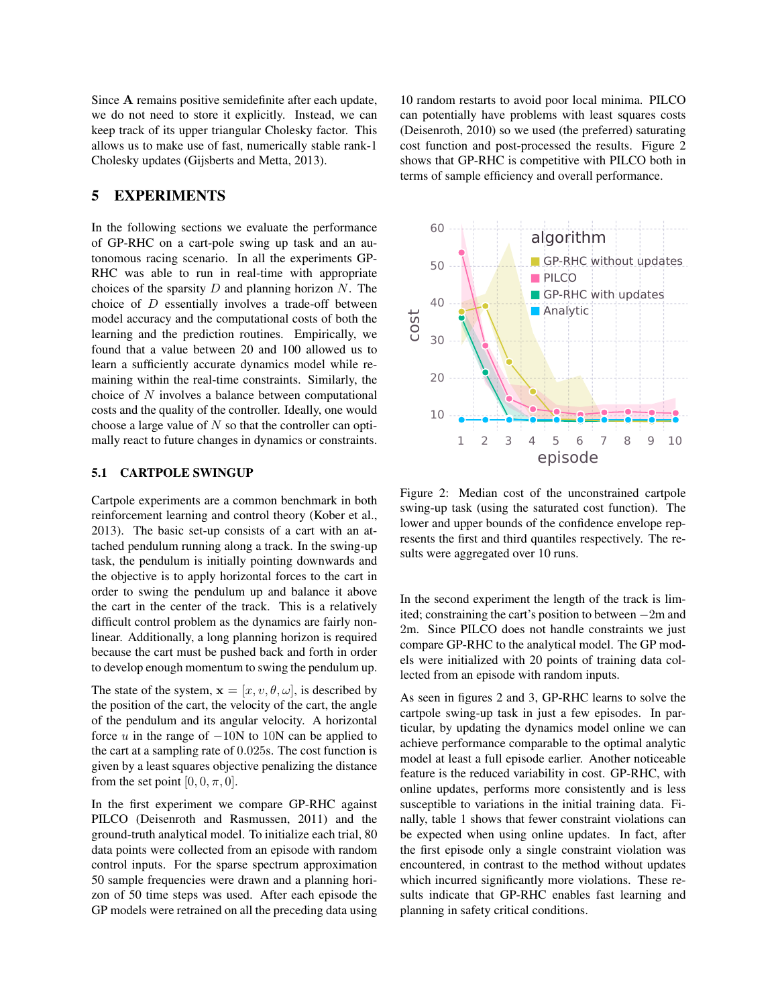Since A remains positive semidefinite after each update, we do not need to store it explicitly. Instead, we can keep track of its upper triangular Cholesky factor. This allows us to make use of fast, numerically stable rank-1 Cholesky updates (Gijsberts and Metta, 2013).

# 5 EXPERIMENTS

In the following sections we evaluate the performance of GP-RHC on a cart-pole swing up task and an autonomous racing scenario. In all the experiments GP-RHC was able to run in real-time with appropriate choices of the sparsity  $D$  and planning horizon  $N$ . The choice of  $D$  essentially involves a trade-off between model accuracy and the computational costs of both the learning and the prediction routines. Empirically, we found that a value between 20 and 100 allowed us to learn a sufficiently accurate dynamics model while remaining within the real-time constraints. Similarly, the choice of N involves a balance between computational costs and the quality of the controller. Ideally, one would choose a large value of  $N$  so that the controller can optimally react to future changes in dynamics or constraints.

#### 5.1 CARTPOLE SWINGUP

Cartpole experiments are a common benchmark in both reinforcement learning and control theory (Kober et al., 2013). The basic set-up consists of a cart with an attached pendulum running along a track. In the swing-up task, the pendulum is initially pointing downwards and the objective is to apply horizontal forces to the cart in order to swing the pendulum up and balance it above the cart in the center of the track. This is a relatively difficult control problem as the dynamics are fairly nonlinear. Additionally, a long planning horizon is required because the cart must be pushed back and forth in order to develop enough momentum to swing the pendulum up.

The state of the system,  $\mathbf{x} = [x, v, \theta, \omega]$ , is described by the position of the cart, the velocity of the cart, the angle of the pendulum and its angular velocity. A horizontal force  $u$  in the range of  $-10N$  to  $10N$  can be applied to the cart at a sampling rate of 0.025s. The cost function is given by a least squares objective penalizing the distance from the set point  $[0, 0, \pi, 0]$ .

In the first experiment we compare GP-RHC against PILCO (Deisenroth and Rasmussen, 2011) and the ground-truth analytical model. To initialize each trial, 80 data points were collected from an episode with random control inputs. For the sparse spectrum approximation 50 sample frequencies were drawn and a planning horizon of 50 time steps was used. After each episode the GP models were retrained on all the preceding data using

10 random restarts to avoid poor local minima. PILCO can potentially have problems with least squares costs (Deisenroth, 2010) so we used (the preferred) saturating cost function and post-processed the results. Figure 2 shows that GP-RHC is competitive with PILCO both in terms of sample efficiency and overall performance.



Figure 2: Median cost of the unconstrained cartpole swing-up task (using the saturated cost function). The lower and upper bounds of the confidence envelope represents the first and third quantiles respectively. The results were aggregated over 10 runs.

In the second experiment the length of the track is limited; constraining the cart's position to between −2m and 2m. Since PILCO does not handle constraints we just compare GP-RHC to the analytical model. The GP models were initialized with 20 points of training data collected from an episode with random inputs.

As seen in figures 2 and 3, GP-RHC learns to solve the cartpole swing-up task in just a few episodes. In particular, by updating the dynamics model online we can achieve performance comparable to the optimal analytic model at least a full episode earlier. Another noticeable feature is the reduced variability in cost. GP-RHC, with online updates, performs more consistently and is less susceptible to variations in the initial training data. Finally, table 1 shows that fewer constraint violations can be expected when using online updates. In fact, after the first episode only a single constraint violation was encountered, in contrast to the method without updates which incurred significantly more violations. These results indicate that GP-RHC enables fast learning and planning in safety critical conditions.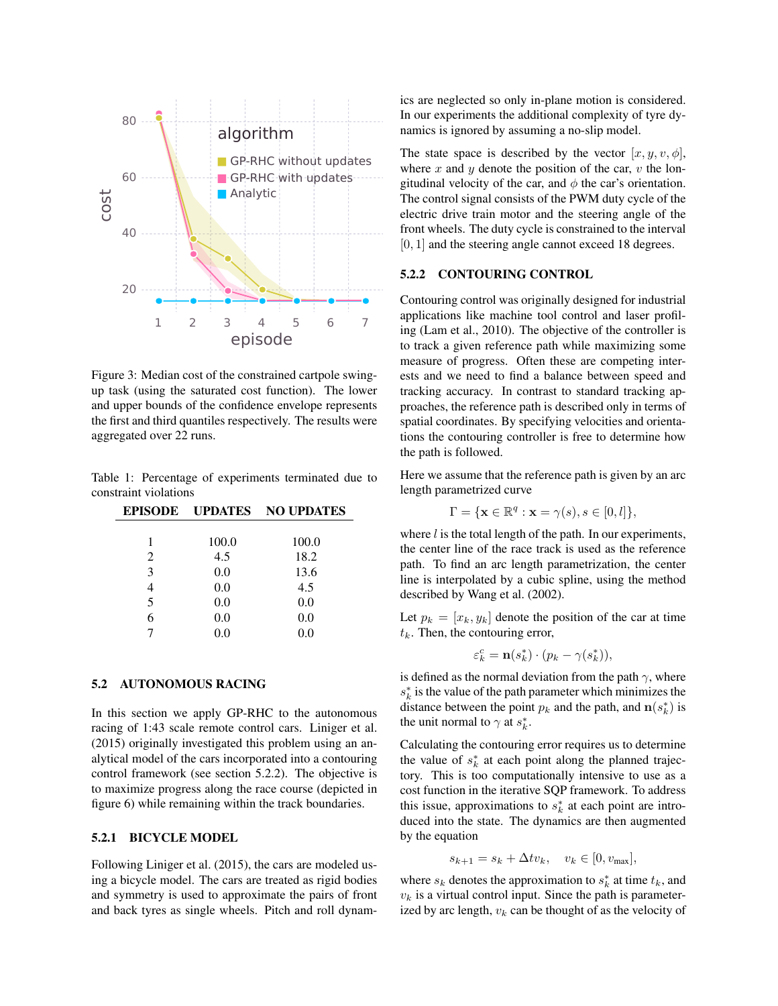

Figure 3: Median cost of the constrained cartpole swingup task (using the saturated cost function). The lower and upper bounds of the confidence envelope represents the first and third quantiles respectively. The results were aggregated over 22 runs.

Table 1: Percentage of experiments terminated due to constraint violations

|   |       | <b>EPISODE UPDATES NO UPDATES</b> |
|---|-------|-----------------------------------|
|   |       |                                   |
| 1 | 100.0 | 100.0                             |
| 2 | 4.5   | 18.2                              |
| 3 | 0.0   | 13.6                              |
|   | 0.0   | 4.5                               |
| 5 | 0.0   | 0.0                               |
| 6 | 0.0   | 0.0                               |
|   | 0.0   | 0.0                               |
|   |       |                                   |

### 5.2 AUTONOMOUS RACING

In this section we apply GP-RHC to the autonomous racing of 1:43 scale remote control cars. Liniger et al. (2015) originally investigated this problem using an analytical model of the cars incorporated into a contouring control framework (see section 5.2.2). The objective is to maximize progress along the race course (depicted in figure 6) while remaining within the track boundaries.

### 5.2.1 BICYCLE MODEL

Following Liniger et al. (2015), the cars are modeled using a bicycle model. The cars are treated as rigid bodies and symmetry is used to approximate the pairs of front and back tyres as single wheels. Pitch and roll dynamics are neglected so only in-plane motion is considered. In our experiments the additional complexity of tyre dynamics is ignored by assuming a no-slip model.

The state space is described by the vector  $[x, y, v, \phi]$ , where  $x$  and  $y$  denote the position of the car,  $v$  the longitudinal velocity of the car, and  $\phi$  the car's orientation. The control signal consists of the PWM duty cycle of the electric drive train motor and the steering angle of the front wheels. The duty cycle is constrained to the interval  $[0, 1]$  and the steering angle cannot exceed 18 degrees.

#### 5.2.2 CONTOURING CONTROL

Contouring control was originally designed for industrial applications like machine tool control and laser profiling (Lam et al., 2010). The objective of the controller is to track a given reference path while maximizing some measure of progress. Often these are competing interests and we need to find a balance between speed and tracking accuracy. In contrast to standard tracking approaches, the reference path is described only in terms of spatial coordinates. By specifying velocities and orientations the contouring controller is free to determine how the path is followed.

Here we assume that the reference path is given by an arc length parametrized curve

$$
\Gamma = \{ \mathbf{x} \in \mathbb{R}^q : \mathbf{x} = \gamma(s), s \in [0, l] \},
$$

where  $l$  is the total length of the path. In our experiments, the center line of the race track is used as the reference path. To find an arc length parametrization, the center line is interpolated by a cubic spline, using the method described by Wang et al. (2002).

Let  $p_k = [x_k, y_k]$  denote the position of the car at time  $t_k$ . Then, the contouring error,

$$
\varepsilon_k^c = \mathbf{n}(s_k^*) \cdot (p_k - \gamma(s_k^*)),
$$

is defined as the normal deviation from the path  $\gamma$ , where  $s_k^*$  is the value of the path parameter which minimizes the distance between the point  $p_k$  and the path, and  $\mathbf{n}(s_k^*)$  is the unit normal to  $\gamma$  at  $s_k^*$ .

Calculating the contouring error requires us to determine the value of  $s_k^*$  at each point along the planned trajectory. This is too computationally intensive to use as a cost function in the iterative SQP framework. To address this issue, approximations to  $s_k^*$  at each point are introduced into the state. The dynamics are then augmented by the equation

$$
s_{k+1} = s_k + \Delta t v_k, \quad v_k \in [0, v_{\text{max}}],
$$

where  $s_k$  denotes the approximation to  $s_k^*$  at time  $t_k$ , and  $v_k$  is a virtual control input. Since the path is parameterized by arc length,  $v_k$  can be thought of as the velocity of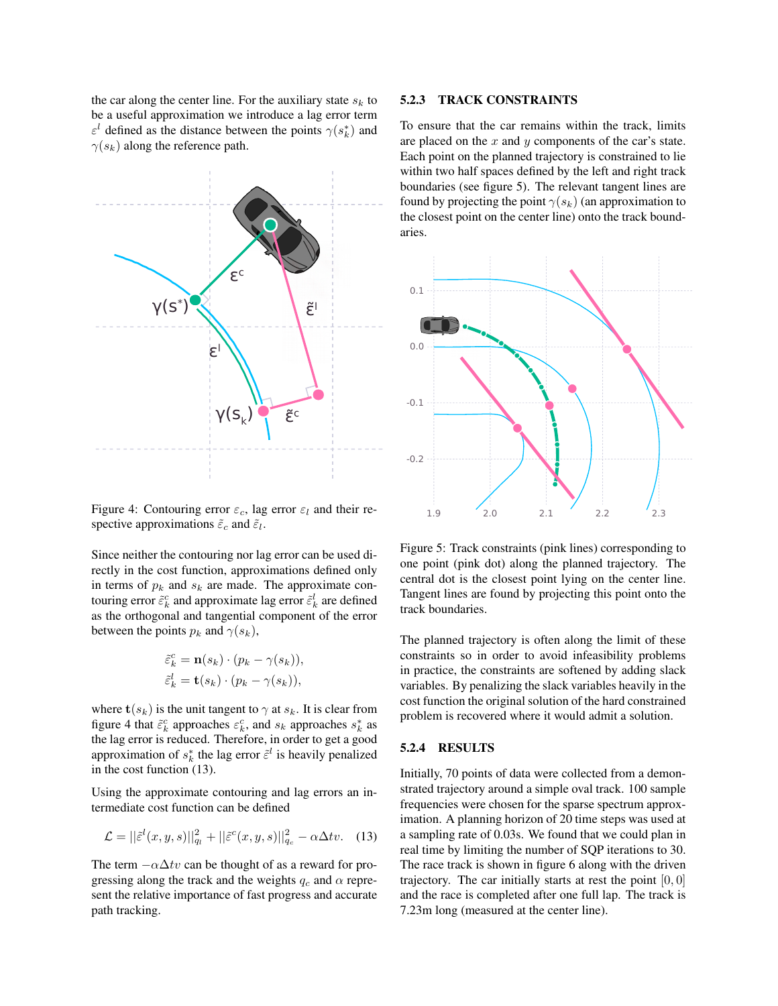the car along the center line. For the auxiliary state  $s_k$  to be a useful approximation we introduce a lag error term  $\varepsilon^l$  defined as the distance between the points  $\gamma(s_k^*)$  and  $\gamma(s_k)$  along the reference path.



Figure 4: Contouring error  $\varepsilon_c$ , lag error  $\varepsilon_l$  and their respective approximations  $\tilde{\varepsilon}_c$  and  $\tilde{\varepsilon}_l$ .

Since neither the contouring nor lag error can be used directly in the cost function, approximations defined only in terms of  $p_k$  and  $s_k$  are made. The approximate contouring error  $\tilde{\varepsilon}^c_k$  and approximate lag error  $\tilde{\varepsilon}^l_k$  are defined as the orthogonal and tangential component of the error between the points  $p_k$  and  $\gamma(s_k)$ ,

$$
\tilde{\varepsilon}_k^c = \mathbf{n}(s_k) \cdot (p_k - \gamma(s_k)),
$$
  

$$
\tilde{\varepsilon}_k^l = \mathbf{t}(s_k) \cdot (p_k - \gamma(s_k)),
$$

where  $\mathbf{t}(s_k)$  is the unit tangent to  $\gamma$  at  $s_k$ . It is clear from figure 4 that  $\tilde{\varepsilon}_k^c$  approaches  $\varepsilon_k^c$ , and  $s_k$  approaches  $s_k^*$  as the lag error is reduced. Therefore, in order to get a good approximation of  $s_k^*$  the lag error  $\tilde{\varepsilon}^l$  is heavily penalized in the cost function (13).

Using the approximate contouring and lag errors an intermediate cost function can be defined

$$
\mathcal{L} = ||\tilde{\varepsilon}^{l}(x, y, s)||_{q_{l}}^{2} + ||\tilde{\varepsilon}^{c}(x, y, s)||_{q_{c}}^{2} - \alpha \Delta tv. \quad (13)
$$

The term  $-\alpha \Delta tv$  can be thought of as a reward for progressing along the track and the weights  $q_c$  and  $\alpha$  represent the relative importance of fast progress and accurate path tracking.

### 5.2.3 TRACK CONSTRAINTS

To ensure that the car remains within the track, limits are placed on the  $x$  and  $y$  components of the car's state. Each point on the planned trajectory is constrained to lie within two half spaces defined by the left and right track boundaries (see figure 5). The relevant tangent lines are found by projecting the point  $\gamma(s_k)$  (an approximation to the closest point on the center line) onto the track boundaries.



Figure 5: Track constraints (pink lines) corresponding to one point (pink dot) along the planned trajectory. The central dot is the closest point lying on the center line. Tangent lines are found by projecting this point onto the track boundaries.

The planned trajectory is often along the limit of these constraints so in order to avoid infeasibility problems in practice, the constraints are softened by adding slack variables. By penalizing the slack variables heavily in the cost function the original solution of the hard constrained problem is recovered where it would admit a solution.

### 5.2.4 RESULTS

Initially, 70 points of data were collected from a demonstrated trajectory around a simple oval track. 100 sample frequencies were chosen for the sparse spectrum approximation. A planning horizon of 20 time steps was used at a sampling rate of 0.03s. We found that we could plan in real time by limiting the number of SQP iterations to 30. The race track is shown in figure 6 along with the driven trajectory. The car initially starts at rest the point  $[0, 0]$ and the race is completed after one full lap. The track is 7.23m long (measured at the center line).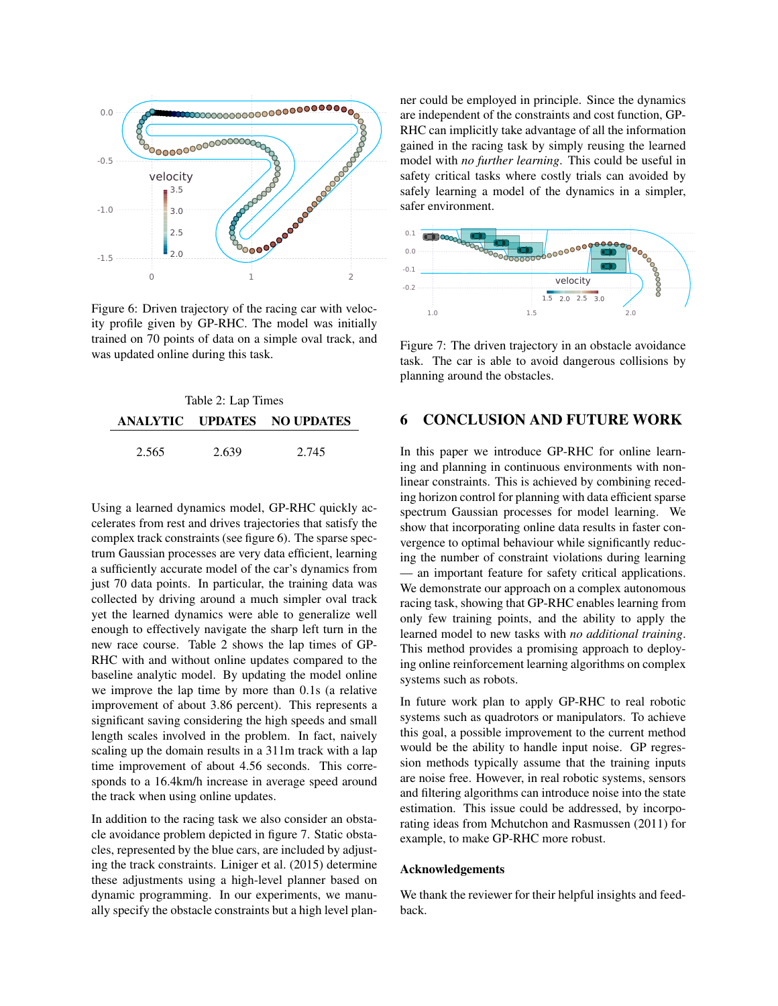

Figure 6: Driven trajectory of the racing car with velocity profile given by GP-RHC. The model was initially trained on 70 points of data on a simple oval track, and was updated online during this task.

| Table 2: Lap Times |       |                             |  |
|--------------------|-------|-----------------------------|--|
|                    |       | ANALYTIC UPDATES NO UPDATES |  |
| 2.565              | 2.639 | 2.745                       |  |

Using a learned dynamics model, GP-RHC quickly accelerates from rest and drives trajectories that satisfy the complex track constraints (see figure 6). The sparse spectrum Gaussian processes are very data efficient, learning a sufficiently accurate model of the car's dynamics from just 70 data points. In particular, the training data was collected by driving around a much simpler oval track yet the learned dynamics were able to generalize well enough to effectively navigate the sharp left turn in the new race course. Table 2 shows the lap times of GP-RHC with and without online updates compared to the baseline analytic model. By updating the model online we improve the lap time by more than 0.1s (a relative improvement of about 3.86 percent). This represents a significant saving considering the high speeds and small length scales involved in the problem. In fact, naively scaling up the domain results in a 311m track with a lap time improvement of about 4.56 seconds. This corresponds to a 16.4km/h increase in average speed around the track when using online updates.

In addition to the racing task we also consider an obstacle avoidance problem depicted in figure 7. Static obstacles, represented by the blue cars, are included by adjusting the track constraints. Liniger et al. (2015) determine these adjustments using a high-level planner based on dynamic programming. In our experiments, we manually specify the obstacle constraints but a high level planner could be employed in principle. Since the dynamics are independent of the constraints and cost function, GP-RHC can implicitly take advantage of all the information gained in the racing task by simply reusing the learned model with *no further learning*. This could be useful in safety critical tasks where costly trials can avoided by safely learning a model of the dynamics in a simpler, safer environment.



Figure 7: The driven trajectory in an obstacle avoidance task. The car is able to avoid dangerous collisions by planning around the obstacles.

# 6 CONCLUSION AND FUTURE WORK

In this paper we introduce GP-RHC for online learning and planning in continuous environments with nonlinear constraints. This is achieved by combining receding horizon control for planning with data efficient sparse spectrum Gaussian processes for model learning. We show that incorporating online data results in faster convergence to optimal behaviour while significantly reducing the number of constraint violations during learning — an important feature for safety critical applications. We demonstrate our approach on a complex autonomous racing task, showing that GP-RHC enables learning from only few training points, and the ability to apply the learned model to new tasks with *no additional training*. This method provides a promising approach to deploying online reinforcement learning algorithms on complex systems such as robots.

In future work plan to apply GP-RHC to real robotic systems such as quadrotors or manipulators. To achieve this goal, a possible improvement to the current method would be the ability to handle input noise. GP regression methods typically assume that the training inputs are noise free. However, in real robotic systems, sensors and filtering algorithms can introduce noise into the state estimation. This issue could be addressed, by incorporating ideas from Mchutchon and Rasmussen (2011) for example, to make GP-RHC more robust.

### Acknowledgements

We thank the reviewer for their helpful insights and feedback.